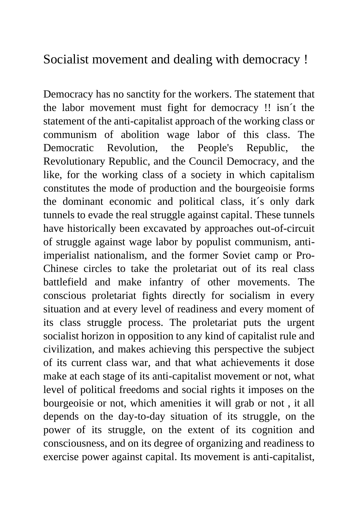Socialist movement and dealing with democracy !

Democracy has no sanctity for the workers. The statement that the labor movement must fight for democracy !! isn´t the statement of the anti-capitalist approach of the working class or communism of abolition wage labor of this class. The Democratic Revolution, the People's Republic, the Revolutionary Republic, and the Council Democracy, and the like, for the working class of a society in which capitalism constitutes the mode of production and the bourgeoisie forms the dominant economic and political class, it´s only dark tunnels to evade the real struggle against capital. These tunnels have historically been excavated by approaches out-of-circuit of struggle against wage labor by populist communism, antiimperialist nationalism, and the former Soviet camp or Pro-Chinese circles to take the proletariat out of its real class battlefield and make infantry of other movements. The conscious proletariat fights directly for socialism in every situation and at every level of readiness and every moment of its class struggle process. The proletariat puts the urgent socialist horizon in opposition to any kind of capitalist rule and civilization, and makes achieving this perspective the subject of its current class war, and that what achievements it dose make at each stage of its anti-capitalist movement or not, what level of political freedoms and social rights it imposes on the bourgeoisie or not, which amenities it will grab or not , it all depends on the day-to-day situation of its struggle, on the power of its struggle, on the extent of its cognition and consciousness, and on its degree of organizing and readiness to exercise power against capital. Its movement is anti-capitalist,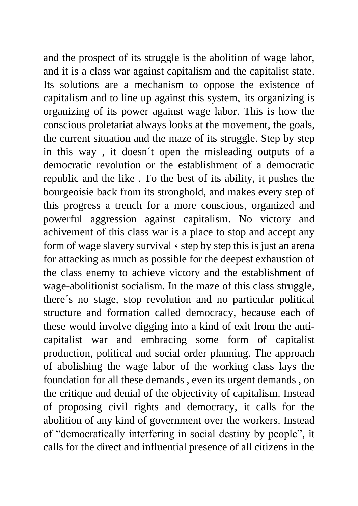and the prospect of its struggle is the abolition of wage labor, and it is a class war against capitalism and the capitalist state. Its solutions are a mechanism to oppose the existence of capitalism and to line up against this system, its organizing is organizing of its power against wage labor. This is how the conscious proletariat always looks at the movement, the goals, the current situation and the maze of its struggle. Step by step in this way , it doesn´t open the misleading outputs of a democratic revolution or the establishment of a democratic republic and the like . To the best of its ability, it pushes the bourgeoisie back from its stronghold, and makes every step of this progress a trench for a more conscious, organized and powerful aggression against capitalism. No victory and achivement of this class war is a place to stop and accept any form of wage slavery survival ، step by step this is just an arena for attacking as much as possible for the deepest exhaustion of the class enemy to achieve victory and the establishment of wage-abolitionist socialism. In the maze of this class struggle, there´s no stage, stop revolution and no particular political structure and formation called democracy, because each of these would involve digging into a kind of exit from the anticapitalist war and embracing some form of capitalist production, political and social order planning. The approach of abolishing the wage labor of the working class lays the foundation for all these demands , even its urgent demands , on the critique and denial of the objectivity of capitalism. Instead of proposing civil rights and democracy, it calls for the abolition of any kind of government over the workers. Instead of "democratically interfering in social destiny by people", it calls for the direct and influential presence of all citizens in the